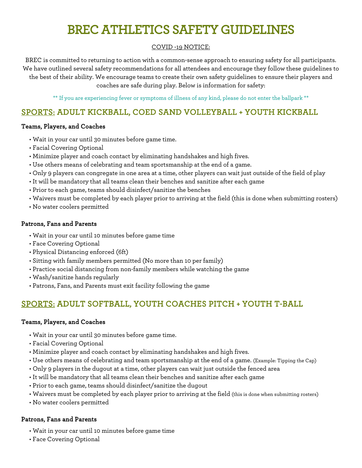# BREC ATHLETICS SAFETY GUIDELINES

## COVID -19 NOTICE:

BREC is committed to returning to action with a common-sense approach to ensuring safety for all participants. We have outlined several safety recommendations for all attendees and encourage they follow these guidelines to the best of their ability. We encourage teams to create their own safety guidelines to ensure their players and coaches are safe during play. Below is information for safety:

\*\* If you are experiencing fever or symptoms of illness of any kind, please do not enter the ballpark \*\*

## SPORTS: ADULT KICKBALL, COED SAND VOLLEYBALL + YOUTH KICKBALL

#### Teams, Players, and Coaches

- Wait in your car until 30 minutes before game time.
- Facial Covering Optional
- Minimize player and coach contact by eliminating handshakes and high fives.
- Use others means of celebrating and team sportsmanship at the end of a game.
- Only 9 players can congregate in one area at a time, other players can wait just outside of the field of play
- It will be mandatory that all teams clean their benches and sanitize after each game
- Prior to each game, teams should disinfect/sanitize the benches
- Waivers must be completed by each player prior to arriving at the field (this is done when submitting rosters)
- No water coolers permitted

#### Patrons, Fans and Parents

- Wait in your car until 10 minutes before game time
- Face Covering Optional
- Physical Distancing enforced (6ft)
- Sitting with family members permitted (No more than 10 per family)
- Practice social distancing from non-family members while watching the game
- Wash/sanitize hands regularly
- Patrons, Fans, and Parents must exit facility following the game

# SPORTS: ADULT SOFTBALL, YOUTH COACHES PITCH + YOUTH T-BALL

#### Teams, Players, and Coaches

- Wait in your car until 30 minutes before game time.
- Facial Covering Optional
- Minimize player and coach contact by eliminating handshakes and high fives.
- Use others means of celebrating and team sportsmanship at the end of a game. (Example: Tipping the Cap)
- Only 9 players in the dugout at a time, other players can wait just outside the fenced area
- It will be mandatory that all teams clean their benches and sanitize after each game
- Prior to each game, teams should disinfect/sanitize the dugout
- Waivers must be completed by each player prior to arriving at the field (this is done when submitting rosters)
- No water coolers permitted

#### Patrons, Fans and Parents

- Wait in your car until 10 minutes before game time
- Face Covering Optional